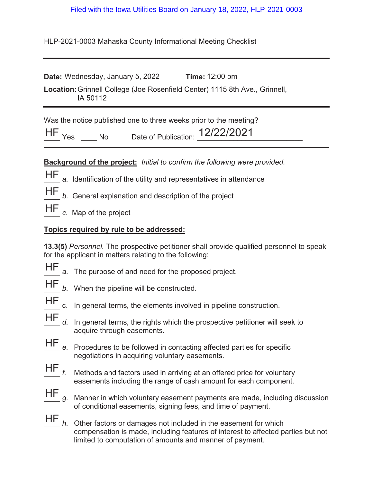## Filed with the Iowa Utilities Board on January 18, 2022, HLP-2021-0003

HLP-2021-0003 Mahaska County Informational Meeting Checklist

| <b>Date:</b> Wednesday, January 5, 2022                                                 | <b>Time: 12:00 pm</b> |
|-----------------------------------------------------------------------------------------|-----------------------|
| Location: Grinnell College (Joe Rosenfield Center) 1115 8th Ave., Grinnell,<br>IA 50112 |                       |

Was the notice published one to three weeks prior to the meeting?

| <b>HF</b> | Date of Publication: | $1010010001$<br> Z ZZ ZUZ |
|-----------|----------------------|---------------------------|
|           |                      |                           |

**Background of the project:** *Initial to confirm the following were provided.*

- HF a. Identification of the utility and representatives in attendance
- HF

b. General explanation and description of the project

HF c. Map of the project

## **Topics required by rule to be addressed:**

**13.3(5)** *Personnel.* The prospective petitioner shall provide qualified personnel to speak for the applicant in matters relating to the following:

- 
- HF a. The purpose of and need for the proposed project.
- 
- HF *b.* When the pipeline will be constructed.
- 
- HF c. In general terms, the elements involved in pipeline construction.
- d. In general terms, the rights which the prospective petitioner will seek to acquire through easements. HF
- e. Procedures to be followed in contacting affected parties for specific negotiations in acquiring voluntary easements. HF
- Methods and factors used in arriving at an offered price for voluntary easements including the range of cash amount for each component.  $HF_{f.}$
- \_\_\_\_ *g.* Manner in which voluntary easement payments are made, including discussion of conditional easements, signing fees, and time of payment. HF
- \_\_\_\_ *h.* Other factors or damages not included in the easement for which compensation is made, including features of interest to affected parties but not limited to computation of amounts and manner of payment.  $HF$ <sub>h.</sub>